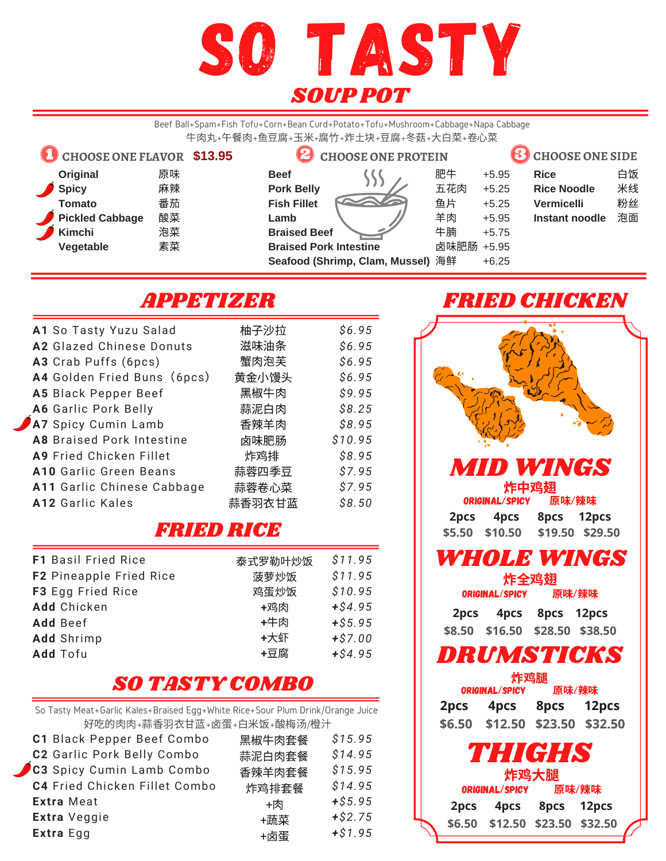

Beef Ball+Spam+Fish Tofu+Corn+Bean Curd+Potato+Tofu+Mushroom+Cabbage+Napa Cabbage 牛肉丸+午餐肉+鱼豆腐+玉米+腐竹+炸土块+豆腐+冬菇+大白菜+卷心菜



## APPETIZER

| A1 So Tasty Yuzu Salad         | 柚子沙拉   | \$6.95  |
|--------------------------------|--------|---------|
| A2 Glazed Chinese Donuts       | 滋味油条   | \$6.95  |
| A3 Crab Puffs (6pcs)           | 蟹肉泡芙   | \$6.95  |
| A4 Golden Fried Buns (6pcs)    | 黄金小馒头  | \$6.95  |
| A5 Black Pepper Beef           | 黑椒牛肉   | \$9.95  |
| A6 Garlic Pork Belly           | 蒜泥白肉   | \$8.25  |
| A7 Spicy Cumin Lamb            | 香辣羊肉   | \$8.95  |
| A8 Braised Pork Intestine      | 卤味肥肠   | \$10.95 |
| <b>A9 Fried Chicken Fillet</b> | 炸鸡排    | \$8.95  |
| A10 Garlic Green Beans         | 蒜蓉四季豆  | \$7.95  |
| A11 Garlic Chinese Cabbage     | 蒜蓉卷心菜  | \$7.95  |
| A12 Garlic Kales               | 蒜香羽衣甘蓝 | \$8.50  |

## FRIED RICE

| <b>F1 Basil Fried Rice</b> | 泰式罗勒叶炒饭 | \$11.95   |
|----------------------------|---------|-----------|
| F2 Pineapple Fried Rice    | 菠萝炒饭    | \$11.95   |
| F3 Egg Fried Rice          | 鸡蛋炒饭    | \$10.95   |
| Add Chicken                | +鸡肉     | $+ $4.95$ |
| Add Beef                   | +牛肉     | $+ $5.95$ |
| <b>Add</b> Shrimp          | +大虾     | $+ $7.00$ |
| Add Tofu                   | +豆腐     | $+ $4.95$ |

## SO TASTY COMBO

So Tasty Meat+Garlic Kales+Braised Egg+White Rice+Sour Plum Drink/Orange Juice 好吃的肉肉+蒜香羽衣甘蓝+卤蛋+白米饭+酸梅汤/橙汁

| <b>Extra Meat</b><br>Extra Veggie | C1 Black Pepper Beef Combo<br>C2 Garlic Pork Belly Combo<br>C3 Spicy Cumin Lamb Combo<br>C4 Fried Chicken Fillet Combo | 黑椒牛肉套餐<br>蒜泥白肉套餐<br>香辣羊肉套餐<br>炸鸡排套餐<br>+肉 | \$15.95<br>\$14.95<br>\$15.95<br>\$14.95<br>$+ $5.95$<br>$+ $2.75$ |
|-----------------------------------|------------------------------------------------------------------------------------------------------------------------|-------------------------------------------|--------------------------------------------------------------------|
| Extra Egg                         |                                                                                                                        | +蔬菜<br>+卤蛋                                | $+ $1.95$                                                          |
|                                   |                                                                                                                        |                                           |                                                                    |

## FRIED CHICKEN

| <b>MID WINGS</b>                  |  |
|-----------------------------------|--|
| 炸中鸡翅                              |  |
| 原味/辣味<br>ORIGINAL/SPICY           |  |
| 8pcs 12pcs<br>4pcs<br>2pcs        |  |
| \$5.50 \$10.50 \$19.50 \$29.50    |  |
| <i><b>WHOLE WINGS</b></i>         |  |
| 炸全鸡翅                              |  |
| ORIGINAL/SPICY<br>原味/辣味           |  |
| 4pcs 8pcs 12pcs<br>2pcs           |  |
| \$8.50 \$16.50 \$28.50 \$38.50    |  |
| DRUMSTICKS                        |  |
| 炸鸡腿                               |  |
| 原味/辣味<br><b>ORIGINAL/SPICY</b>    |  |
| 2pcs 4pcs 8pcs 12pcs              |  |
| \$12.50 \$23.50 \$32.50<br>\$6.50 |  |
| THIGHS                            |  |
| 炸鸡大腿                              |  |
| 原味/辣味<br>ORIGINAL/SPICY           |  |
| 4pcs 8pcs 12pcs<br>2pcs           |  |
| \$6.50 \$12.50 \$23.50 \$32.50    |  |
|                                   |  |